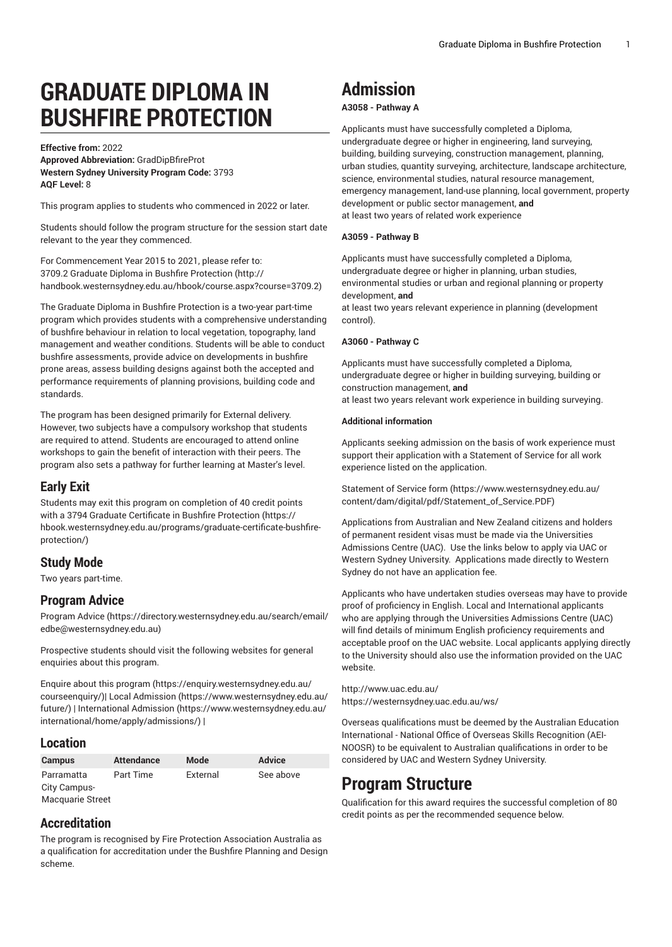# **GRADUATE DIPLOMA IN BUSHFIRE PROTECTION**

**Effective from:** 2022 **Approved Abbreviation:** GradDipBfireProt **Western Sydney University Program Code:** 3793 **AQF Level:** 8

This program applies to students who commenced in 2022 or later.

Students should follow the program structure for the session start date relevant to the year they commenced.

For [Commencement](http://handbook.westernsydney.edu.au/hbook/course.aspx?course=3709.2) Year 2015 to 2021, please refer to: 3709.2 Graduate Diploma in Bushfire [Protection](http://handbook.westernsydney.edu.au/hbook/course.aspx?course=3709.2) ([http://](http://handbook.westernsydney.edu.au/hbook/course.aspx?course=3709.2) [handbook.westernsydney.edu.au/hbook/course.aspx?course=3709.2\)](http://handbook.westernsydney.edu.au/hbook/course.aspx?course=3709.2)

The Graduate Diploma in Bushfire Protection is a two-year part-time program which provides students with a comprehensive understanding of bushfire behaviour in relation to local vegetation, topography, land management and weather conditions. Students will be able to conduct bushfire assessments, provide advice on developments in bushfire prone areas, assess building designs against both the accepted and performance requirements of planning provisions, building code and standards.

The program has been designed primarily for External delivery. However, two subjects have a compulsory workshop that students are required to attend. Students are encouraged to attend online workshops to gain the benefit of interaction with their peers. The program also sets a pathway for further learning at Master's level.

### **Early Exit**

Students may exit this program on completion of 40 credit points with a 3794 Graduate Certificate in Bushfire [Protection](https://hbook.westernsydney.edu.au/programs/graduate-certificate-bushfire-protection/) ([https://](https://hbook.westernsydney.edu.au/programs/graduate-certificate-bushfire-protection/) [hbook.westernsydney.edu.au/programs/graduate-certificate-bushfire](https://hbook.westernsydney.edu.au/programs/graduate-certificate-bushfire-protection/)[protection/](https://hbook.westernsydney.edu.au/programs/graduate-certificate-bushfire-protection/))

## **Study Mode**

Two years part-time.

## **Program Advice**

[Program](https://directory.westernsydney.edu.au/search/email/edbe@westernsydney.edu.au) Advice ([https://directory.westernsydney.edu.au/search/email/](https://directory.westernsydney.edu.au/search/email/edbe@westernsydney.edu.au) [edbe@westernsydney.edu.au\)](https://directory.westernsydney.edu.au/search/email/edbe@westernsydney.edu.au)

Prospective students should visit the following websites for general enquiries about this program.

Enquire about this [program \(https://enquiry.westernsydney.edu.au/](https://enquiry.westernsydney.edu.au/courseenquiry/) [courseenquiry/](https://enquiry.westernsydney.edu.au/courseenquiry/))| [Local Admission \(https://www.westernsydney.edu.au/](https://www.westernsydney.edu.au/future/) [future/\)](https://www.westernsydney.edu.au/future/) | [International Admission](https://www.westernsydney.edu.au/international/home/apply/admissions/) ([https://www.westernsydney.edu.au/](https://www.westernsydney.edu.au/international/home/apply/admissions/) [international/home/apply/admissions/](https://www.westernsydney.edu.au/international/home/apply/admissions/)) |

## **Location**

| <b>Campus</b>           | <b>Attendance</b> | Mode     | <b>Advice</b> |
|-------------------------|-------------------|----------|---------------|
| Parramatta              | Part Time         | External | See above     |
| City Campus-            |                   |          |               |
| <b>Macquarie Street</b> |                   |          |               |

## **Accreditation**

The program is recognised by Fire Protection Association Australia as a qualification for accreditation under the Bushfire Planning and Design scheme.

## **Admission**

#### **A3058 - Pathway A**

Applicants must have successfully completed a Diploma, undergraduate degree or higher in engineering, land surveying, building, building surveying, construction management, planning, urban studies, quantity surveying, architecture, landscape architecture, science, environmental studies, natural resource management, emergency management, land-use planning, local government, property development or public sector management, **and** at least two years of related work experience

#### **A3059 - Pathway B**

Applicants must have successfully completed a Diploma, undergraduate degree or higher in planning, urban studies, environmental studies or urban and regional planning or property development, **and**

at least two years relevant experience in planning (development control).

#### **A3060 - Pathway C**

Applicants must have successfully completed a Diploma, undergraduate degree or higher in building surveying, building or construction management, **and**

at least two years relevant work experience in building surveying.

#### **Additional information**

Applicants seeking admission on the basis of work experience must support their application with a Statement of Service for all work experience listed on the application.

[Statement](https://www.westernsydney.edu.au/content/dam/digital/pdf/Statement_of_Service.PDF) of Service form [\(https://www.westernsydney.edu.au/](https://www.westernsydney.edu.au/content/dam/digital/pdf/Statement_of_Service.PDF) [content/dam/digital/pdf/Statement\\_of\\_Service.PDF](https://www.westernsydney.edu.au/content/dam/digital/pdf/Statement_of_Service.PDF))

Applications from Australian and New Zealand citizens and holders of permanent resident visas must be made via the Universities Admissions Centre (UAC). Use the links below to apply via UAC or Western Sydney University. Applications made directly to Western Sydney do not have an application fee.

Applicants who have undertaken studies overseas may have to provide proof of proficiency in English. Local and International applicants who are applying through the Universities Admissions Centre (UAC) will find details of minimum English proficiency requirements and acceptable proof on the UAC website. Local applicants applying directly to the University should also use the information provided on the UAC website.

<http://www.uac.edu.au/> <https://westernsydney.uac.edu.au/ws/>

Overseas qualifications must be deemed by the Australian Education International - National Office of Overseas Skills Recognition (AEI-NOOSR) to be equivalent to Australian qualifications in order to be considered by UAC and Western Sydney University.

## **Program Structure**

Qualification for this award requires the successful completion of 80 credit points as per the recommended sequence below.